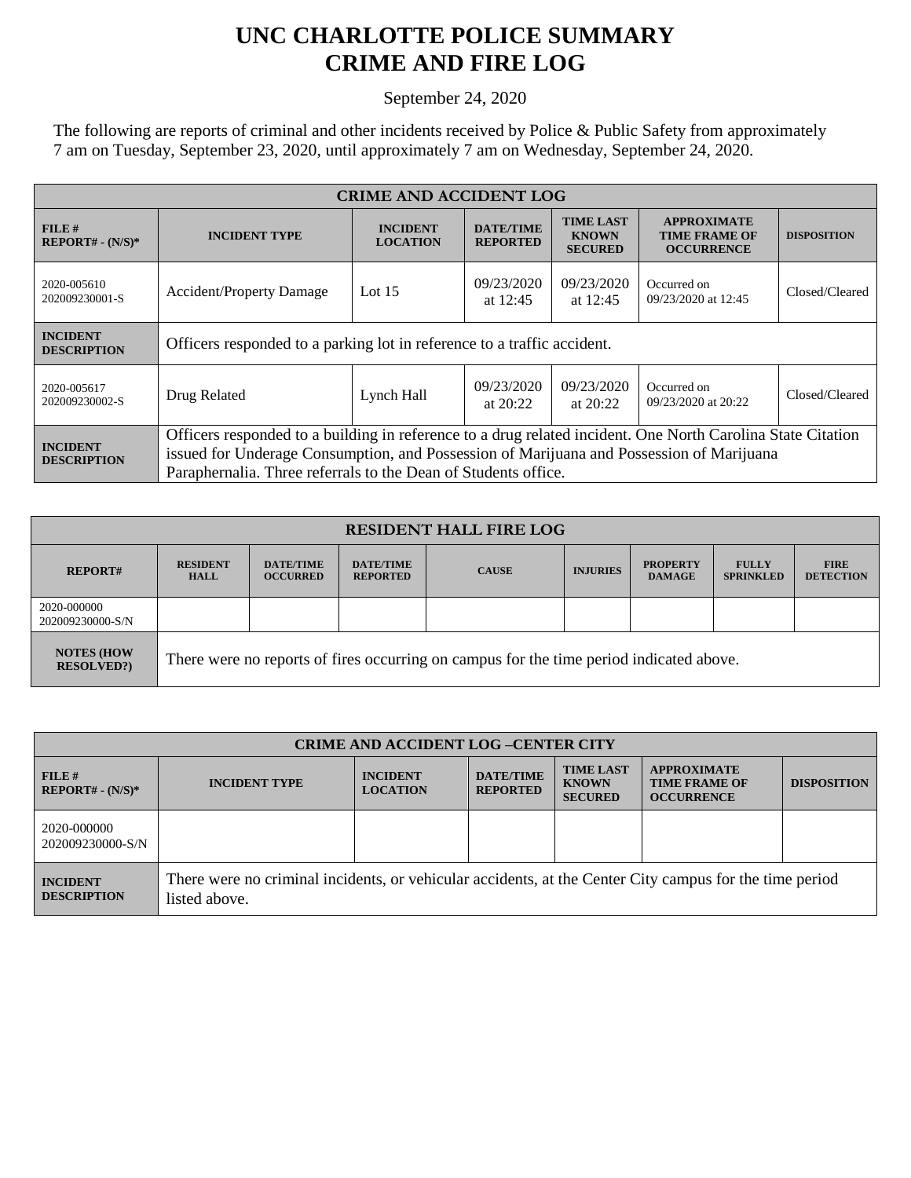## **UNC CHARLOTTE POLICE SUMMARY CRIME AND FIRE LOG**

September 24, 2020

The following are reports of criminal and other incidents received by Police & Public Safety from approximately 7 am on Tuesday, September 23, 2020, until approximately 7 am on Wednesday, September 24, 2020.

| <b>CRIME AND ACCIDENT LOG</b>         |                                                                                                             |                                      |                                     |                                                    |                                                                 |                    |  |
|---------------------------------------|-------------------------------------------------------------------------------------------------------------|--------------------------------------|-------------------------------------|----------------------------------------------------|-----------------------------------------------------------------|--------------------|--|
| $FILE$ #<br>$REPORT# - (N/S)*$        | <b>INCIDENT TYPE</b>                                                                                        | <b>INCIDENT</b><br><b>LOCATION</b>   | <b>DATE/TIME</b><br><b>REPORTED</b> | <b>TIME LAST</b><br><b>KNOWN</b><br><b>SECURED</b> | <b>APPROXIMATE</b><br><b>TIME FRAME OF</b><br><b>OCCURRENCE</b> | <b>DISPOSITION</b> |  |
| 2020-005610<br>202009230001-S         | <b>Accident/Property Damage</b>                                                                             | 09/23/2020<br>Lot $15$<br>at $12:45$ |                                     | 09/23/2020<br>at $12:45$                           | Occurred on<br>09/23/2020 at 12:45                              | Closed/Cleared     |  |
| <b>INCIDENT</b><br><b>DESCRIPTION</b> | Officers responded to a parking lot in reference to a traffic accident.                                     |                                      |                                     |                                                    |                                                                 |                    |  |
| 2020-005617<br>202009230002-S         | Drug Related                                                                                                | Lynch Hall                           | 09/23/2020<br>at $20:22$            | 09/23/2020<br>at $20:22$                           | Occurred on<br>09/23/2020 at 20:22                              | Closed/Cleared     |  |
| <b>INCIDENT</b><br><b>DESCRIPTION</b> | Officers responded to a building in reference to a drug related incident. One North Carolina State Citation |                                      |                                     |                                                    |                                                                 |                    |  |
|                                       | issued for Underage Consumption, and Possession of Marijuana and Possession of Marijuana                    |                                      |                                     |                                                    |                                                                 |                    |  |
|                                       | Paraphernalia. Three referrals to the Dean of Students office.                                              |                                      |                                     |                                                    |                                                                 |                    |  |

| <b>RESIDENT HALL FIRE LOG</b>         |                                                                                         |                                     |                                     |              |                 |                                  |                                  |                                 |
|---------------------------------------|-----------------------------------------------------------------------------------------|-------------------------------------|-------------------------------------|--------------|-----------------|----------------------------------|----------------------------------|---------------------------------|
| <b>REPORT#</b>                        | <b>RESIDENT</b><br><b>HALL</b>                                                          | <b>DATE/TIME</b><br><b>OCCURRED</b> | <b>DATE/TIME</b><br><b>REPORTED</b> | <b>CAUSE</b> | <b>INJURIES</b> | <b>PROPERTY</b><br><b>DAMAGE</b> | <b>FULLY</b><br><b>SPRINKLED</b> | <b>FIRE</b><br><b>DETECTION</b> |
| 2020-000000<br>202009230000-S/N       |                                                                                         |                                     |                                     |              |                 |                                  |                                  |                                 |
| <b>NOTES (HOW</b><br><b>RESOLVED?</b> | There were no reports of fires occurring on campus for the time period indicated above. |                                     |                                     |              |                 |                                  |                                  |                                 |

| <b>CRIME AND ACCIDENT LOG-CENTER CITY</b> |                                                                                                                          |                                    |                                     |                                                    |                                                                 |                    |
|-------------------------------------------|--------------------------------------------------------------------------------------------------------------------------|------------------------------------|-------------------------------------|----------------------------------------------------|-----------------------------------------------------------------|--------------------|
| FILE#<br>$REPORT# - (N/S)*$               | <b>INCIDENT TYPE</b>                                                                                                     | <b>INCIDENT</b><br><b>LOCATION</b> | <b>DATE/TIME</b><br><b>REPORTED</b> | <b>TIME LAST</b><br><b>KNOWN</b><br><b>SECURED</b> | <b>APPROXIMATE</b><br><b>TIME FRAME OF</b><br><b>OCCURRENCE</b> | <b>DISPOSITION</b> |
| 2020-000000<br>202009230000-S/N           |                                                                                                                          |                                    |                                     |                                                    |                                                                 |                    |
| <b>INCIDENT</b><br><b>DESCRIPTION</b>     | There were no criminal incidents, or vehicular accidents, at the Center City campus for the time period<br>listed above. |                                    |                                     |                                                    |                                                                 |                    |